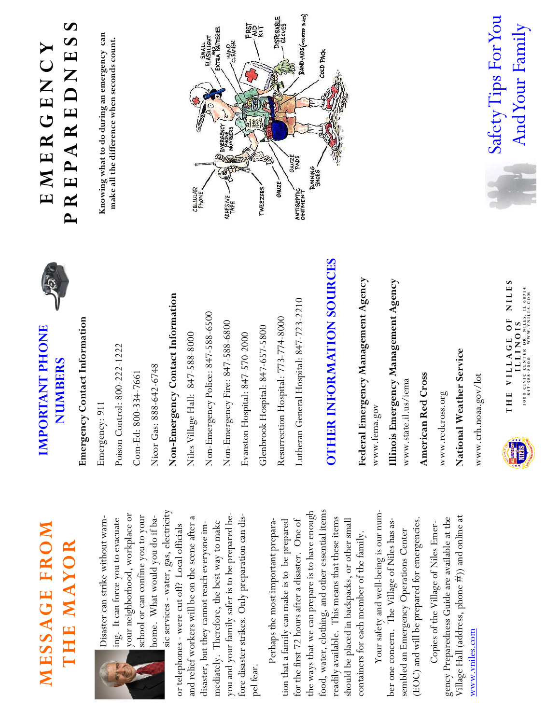## MESSAGE FROM MESSAGE FROM THE MAYOR THE MAYOR



your neighborhood, workplace or your neighborhood, workplace or school or can confine you to your school or can confine you to your home. What would you do if ba-Disaster can strike without warn-Disaster can strike without warning. It can force you to evacuate ing. It can force you to evacuate home. What would you do if ba-

sic services - water, gas, electricity sic services - water, gas, electricity you and your family safer is to be prepared beyou and your family safer is to be prepared beand relief workers will be on the scene after a and relief workers will be on the scene after a fore disaster strikes. Only preparation can disfore disaster strikes. Only preparation can dismediately. Therefore, the best way to make mediately. Therefore, the best way to make disaster, but they cannot reach everyone imdisaster, but they cannot reach everyone imor telephones - were cut off? Local officials or telephones - were cut off? Local officials pel fear.

food, water, clothing, and other essential items food, water, clothing, and other essential items the ways that we can prepare is to have enough the ways that we can prepare is to have enough readily available. This means that these items readily available. This means that these items should be placed in backpacks, or other small tion that a family can make is to be prepared tion that a family can make is to be prepared for the first 72 hours after a disaster. One of for the first 72 hours after a disaster. One of should be placed in backpacks, or other small Perhaps the most important prepara- Perhaps the most important preparacontainers for each member of the family. containers for each member of the family.

Your safety and well-being is our num- Your safety and well-being is our num-(EOC) and will be prepared for emergencies. ber one concern. The Village of Niles has as-(EOC) and will be prepared for emergencies. ber one concern. The Village of Niles has assembled an Emergency Operations Center sembled an Emergency Operations Center

Village Hall (address, phone #)) and online at Village Hall (address, phone #)) and online at gency Preparedness Guide are available at the gency Preparedness Guide are available at the Copies of the Village of Niles Emer- Copies of the Village of Niles Emerwww.vniles.com

## IMPORTANT PHONE IMPORTANT PHONE NUMBERS NUMBERS



Emergency Contact Information Emergency Contact Information

Poison Control: 800-222-1222 Emergency: 911 Emergency: 911

Poison Control: 800-222-1222

Com-Ed: 800-334-7661 Com-Ed: 800-334-7661

Nicor Gas: 888-642-6748 Nicor Gas: 888-642-6748

Non-Emergency Contact Information Non-Emergency Contact Information

Non-Emergency Police: 847-588-6500 Non-Emergency Police: 847-588-6500 Niles Village Hall: 847-588-800 Niles Village Hall: 847-588-8000

Non-Emergency Fire: 847-588-6800 Non-Emergency Fire: 847-588-6800

Evanston Hospital: 847-570-2000 Evanston Hospital: 847-570-2000

Glenbrook Hospital: 847-657-5800 Glenbrook Hospital: 847-657-5800

Resurrection Hospital: 773-774-8000 Resurrection Hospital: 773-774-8000

Lutheran General Hospital: 847-723-2210 Lutheran General Hospital: 847-723-2210

## OTHER INFORMATION SOURCES **OTHER INFORMATION SOURCES**

Federal Emergency Management Agency Federal Emergency Management Agency Illinois Emergency Management Agency Illinois Emergency Management Agency www.fema.gov www.fema.gov

www.state.il.us/iema www.state.il.us/iema

American Red Cross American Red Cross

www.redcross.org www.redcross.org

National Weather Service National Weather Service

www.crh.noaa.gov/lot www.crh.noaa.gov/lot



T H E V I L A G E O F N I L E S THE VILAGE OF NILES 1 0 0 0 C I V I C C E N T E R D R N I L E S , I L 6 0 7 1 4 1000 CIVIC CENTER DR NILES, LL 60714 8 4 7 - 5 8 8 - 8 0 0 0 W W W . V N I L E S . C O M I L L I N O I S

## P R E P A R E D N E S S  $\bullet$ E M E R G E N C Y<br>R F P A R F D N F S S PREPAREDNES EMERGENCY

Knowing what to do during an emergency can Knowing what to do during an emergency can make all the difference when seconds count. make all the difference when seconds count.